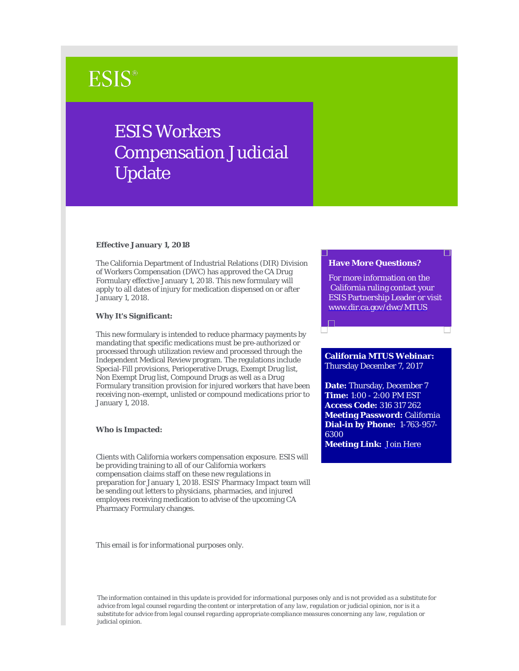# **ESIS®**

# ESIS Workers Compensation Judicial Update

#### **Effective January 1, 2018**

The California Department of Industrial Relations (DIR) Division of Workers Compensation (DWC) has approved the CA Drug Formulary effective January 1, 2018. This new formulary will apply to all dates of injury for medication dispensed on or after January 1, 2018.

### **Why It's Significant:**

This new formulary is intended to reduce pharmacy payments by mandating that specific medications must be pre-authorized or processed through utilization review and processed through the Independent Medical Review program. The regulations include Special-Fill provisions, Perioperative Drugs, Exempt Drug list, Non Exempt Drug list, Compound Drugs as well as a Drug Formulary transition provision for injured workers that have been receiving non-exempt, unlisted or compound medications prior to January 1, 2018.

#### **Who is Impacted:**

Clients with California workers compensation exposure. ESIS will be providing training to all of our California workers compensation claims staff on these new regulations in preparation for January 1, 2018. ESIS' Pharmacy Impact team will be sending out letters to physicians, pharmacies, and injured employees receiving medication to advise of the upcoming CA Pharmacy Formulary changes.

This email is for informational purposes only.

#### **Have More Questions?**

For more information on the California ruling contact your ESIS Partnership Leader or visit [www.dir.ca.gov/dwc/MTUS](https://urldefense.proofpoint.com/v2/url?u=http-3A__www.dir.ca.gov_dwc_mtus_mtus-5Fregulationsguidelines.html&d=DwMCAg&c=9TnM8cDdIndCtQknbqO0eA&r=UBow20gHqbEDNEqMTYb-hHEGnsrNp6ctr6umYDVMQOk&m=ZHxe8iKTO7F_6u57QL-LpKjXw3BLjKrW19259gQKQ0c&s=PzP1YILWXlKS5i8ckz2pRbwzqUnsoYwxSdmXd-1Scs4&e=)

## **California MTUS Webinar:** Thursday December 7, 2017

**Date:** Thursday, December 7 **Time:** 1:00 - 2:00 PM EST **Access Code:** 316 317 262 **Meeting Password:** California **Dial-in by Phone:** 1-763-957- 6300 **Meeting Link:** [Join Here](https://urldefense.proofpoint.com/v2/url?u=http-3A__optum.webex.com_mw3100_mywebex_default.do-3Fservice-3D1-26siteurl-3Doptum-26nomenu-3Dtrue-26main-5Furl-3D-252Fmc3100-252Fe.do-253Fsiteurl-253Doptum-2526AT-253DMI-2526EventID-253D109383663-2526UID-253D0-2526Host-253DQUhTSwAAAAQ4aJsWCdnJun5-2Di05Ev1sRSGt4svNbXHizFDxmz2AP0hCzLgLqDwwe-2Drg95T0q8czDJAe8Og7Da9Jca7BoWG4U0-2526FrameSet-253D2-2526MTID-253Dm3cb8bf6711cd6f293cebc7e69f90464c&d=DwMCAg&c=9TnM8cDdIndCtQknbqO0eA&r=UBow20gHqbEDNEqMTYb-hHEGnsrNp6ctr6umYDVMQOk&m=ZHxe8iKTO7F_6u57QL-LpKjXw3BLjKrW19259gQKQ0c&s=rZwJYnBw-L-_PU3xUI0_eD50Il9GMRKw9mT2WOgEVVQ&e=)

*The information contained in this update is provided for informational purposes only and is not provided as a substitute for advice from legal counsel regarding the content or interpretation of any law, regulation or judicial opinion, nor is it a substitute for advice from legal counsel regarding appropriate compliance measures concerning any law, regulation or judicial opinion.*